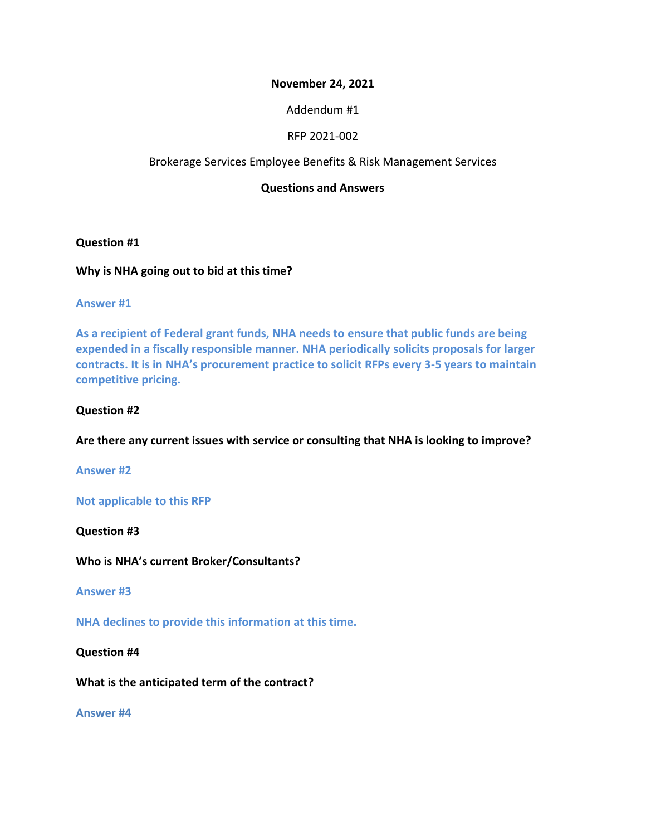# **November 24, 2021**

# Addendum #1

# RFP 2021-002

# Brokerage Services Employee Benefits & Risk Management Services

# **Questions and Answers**

# **Question #1**

# **Why is NHA going out to bid at this time?**

## **Answer #1**

**As a recipient of Federal grant funds, NHA needs to ensure that public funds are being expended in a fiscally responsible manner. NHA periodically solicits proposals for larger contracts. It is in NHA's procurement practice to solicit RFPs every 3-5 years to maintain competitive pricing.** 

# **Question #2**

**Are there any current issues with service or consulting that NHA is looking to improve?**

**Answer #2**

## **Not applicable to this RFP**

**Question #3**

**Who is NHA's current Broker/Consultants?**

**Answer #3**

**NHA declines to provide this information at this time.**

**Question #4**

**What is the anticipated term of the contract?**

**Answer #4**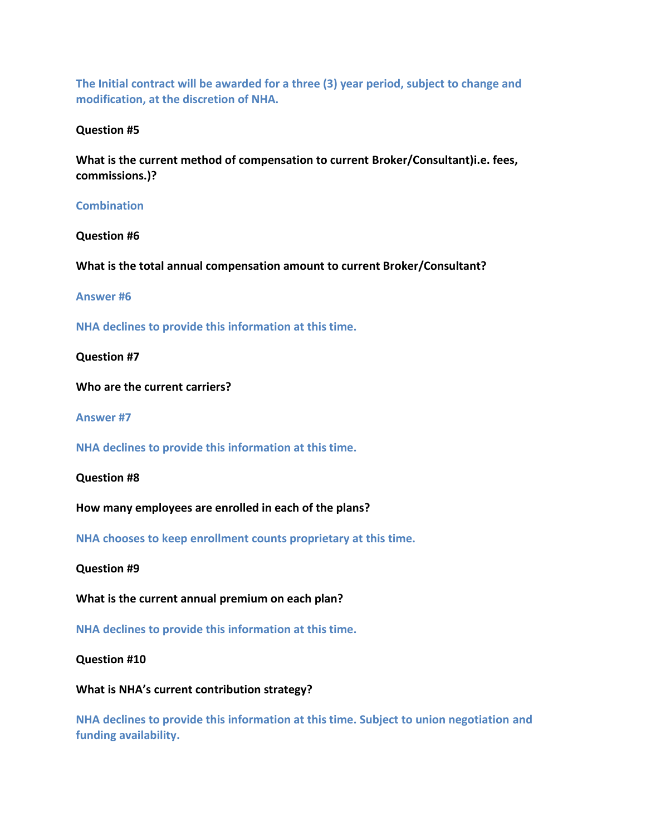**The Initial contract will be awarded for a three (3) year period, subject to change and modification, at the discretion of NHA.**

#### **Question #5**

**What is the current method of compensation to current Broker/Consultant)i.e. fees, commissions.)?**

# **Combination**

**Question #6**

**What is the total annual compensation amount to current Broker/Consultant?**

**Answer #6**

**NHA declines to provide this information at this time.**

**Question #7**

**Who are the current carriers?**

**Answer #7**

**NHA declines to provide this information at this time.**

**Question #8**

**How many employees are enrolled in each of the plans?**

**NHA chooses to keep enrollment counts proprietary at this time.**

**Question #9**

**What is the current annual premium on each plan?**

**NHA declines to provide this information at this time.**

**Question #10**

**What is NHA's current contribution strategy?** 

**NHA declines to provide this information at this time. Subject to union negotiation and funding availability.**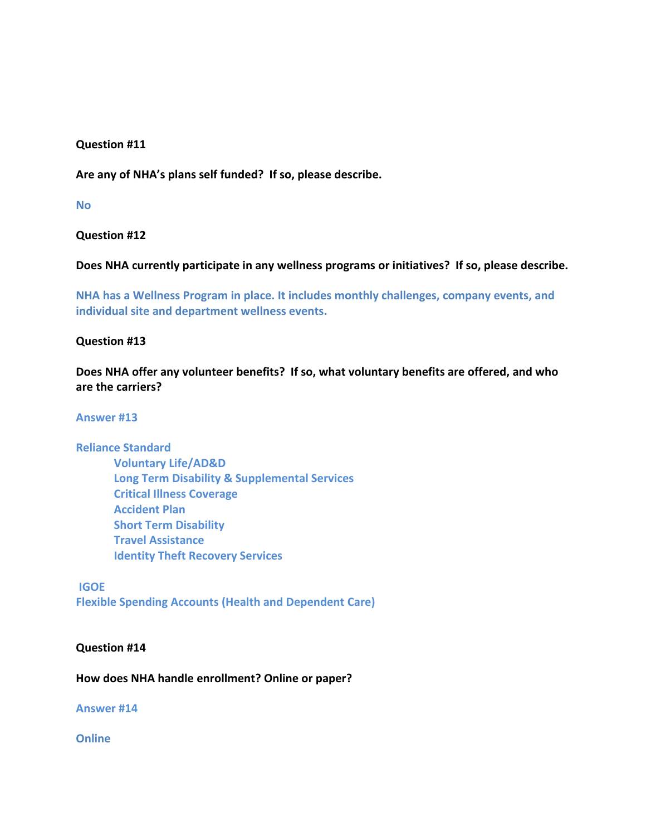# **Question #11**

**Are any of NHA's plans self funded? If so, please describe.**

**No**

**Question #12**

**Does NHA currently participate in any wellness programs or initiatives? If so, please describe.**

**NHA has a Wellness Program in place. It includes monthly challenges, company events, and individual site and department wellness events.** 

# **Question #13**

**Does NHA offer any volunteer benefits? If so, what voluntary benefits are offered, and who are the carriers?**

## **Answer #13**

# **Reliance Standard**

**Voluntary Life/AD&D Long Term Disability & Supplemental Services Critical Illness Coverage Accident Plan Short Term Disability Travel Assistance Identity Theft Recovery Services**

**IGOE Flexible Spending Accounts (Health and Dependent Care)** 

## **Question #14**

**How does NHA handle enrollment? Online or paper?**

**Answer #14**

**Online**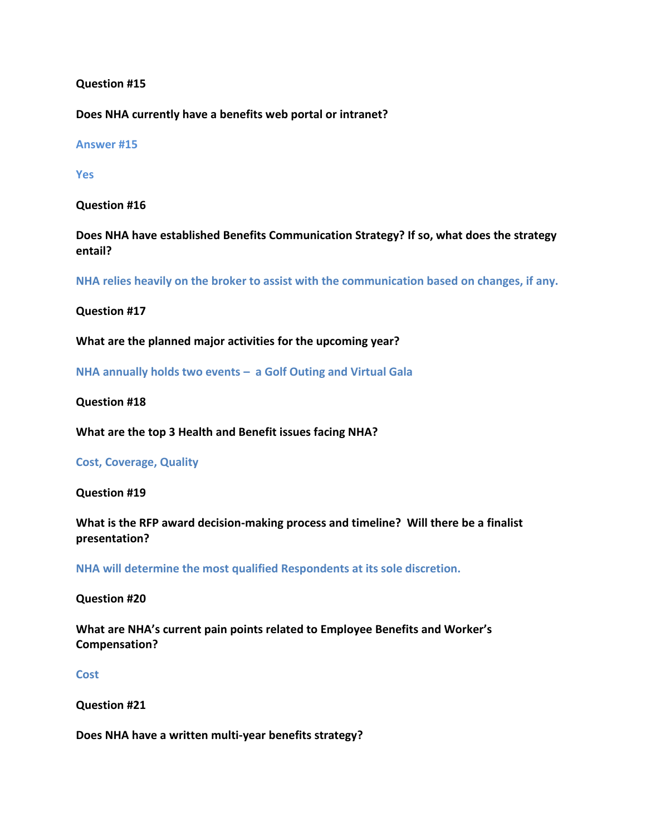## **Question #15**

**Does NHA currently have a benefits web portal or intranet?**

## **Answer #15**

# **Yes**

**Question #16**

**Does NHA have established Benefits Communication Strategy? If so, what does the strategy entail?**

**NHA relies heavily on the broker to assist with the communication based on changes, if any.**

**Question #17**

**What are the planned major activities for the upcoming year?**

**NHA annually holds two events – a Golf Outing and Virtual Gala**

**Question #18**

**What are the top 3 Health and Benefit issues facing NHA?**

## **Cost, Coverage, Quality**

**Question #19**

**What is the RFP award decision-making process and timeline? Will there be a finalist presentation?**

**NHA will determine the most qualified Respondents at its sole discretion.** 

## **Question #20**

**What are NHA's current pain points related to Employee Benefits and Worker's Compensation?**

**Cost**

**Question #21**

**Does NHA have a written multi-year benefits strategy?**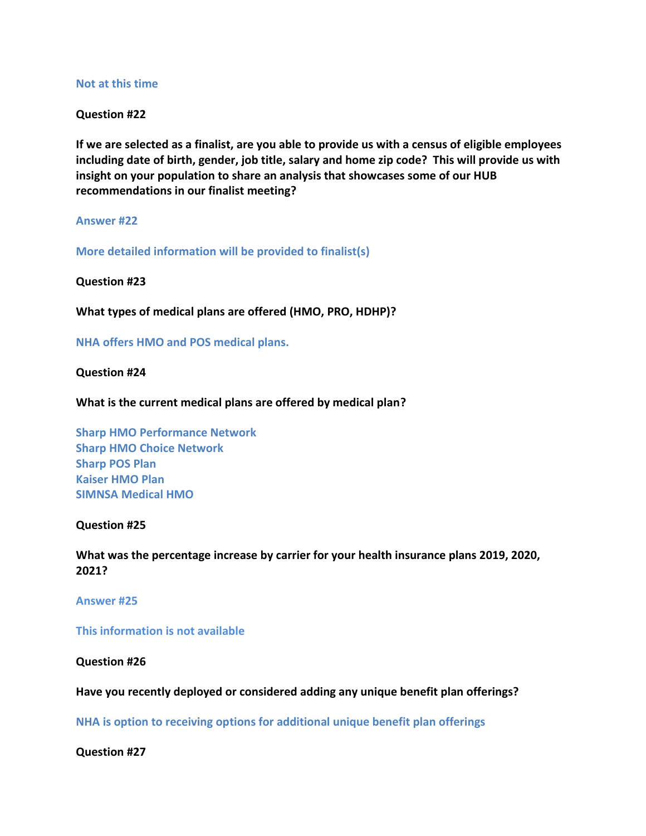#### **Not at this time**

#### **Question #22**

**If we are selected as a finalist, are you able to provide us with a census of eligible employees including date of birth, gender, job title, salary and home zip code? This will provide us with insight on your population to share an analysis that showcases some of our HUB recommendations in our finalist meeting?**

**Answer #22**

**More detailed information will be provided to finalist(s)**

#### **Question #23**

**What types of medical plans are offered (HMO, PRO, HDHP)?**

**NHA offers HMO and POS medical plans.**

## **Question #24**

**What is the current medical plans are offered by medical plan?**

**Sharp HMO Performance Network Sharp HMO Choice Network Sharp POS Plan Kaiser HMO Plan SIMNSA Medical HMO**

## **Question #25**

**What was the percentage increase by carrier for your health insurance plans 2019, 2020, 2021?**

**Answer #25**

**This information is not available** 

**Question #26**

**Have you recently deployed or considered adding any unique benefit plan offerings?**

**NHA is option to receiving options for additional unique benefit plan offerings**

**Question #27**